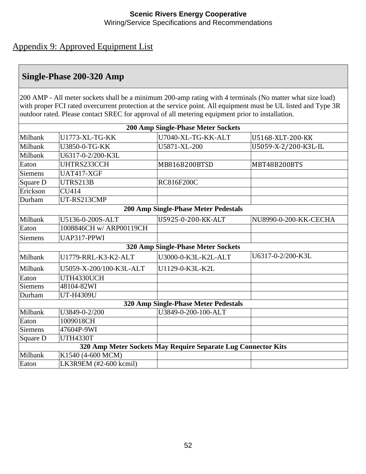#### **Scenic Rivers Energy Cooperative** Wiring/Service Specifications and Recommendations

## Appendix 9: Approved Equipment List

## **Single-Phase 200-320 Amp**

200 AMP - All meter sockets shall be a minimum 200-amp rating with 4 terminals (No matter what size load) with proper FCI rated overcurrent protection at the service point. All equipment must be UL listed and Type 3R outdoor rated. Please contact SREC for approval of all metering equipment prior to installation.

| <b>200 Amp Single-Phase Meter Sockets</b>                     |                                             |                     |                       |  |  |  |  |  |
|---------------------------------------------------------------|---------------------------------------------|---------------------|-----------------------|--|--|--|--|--|
| Milbank                                                       | U1773-XL-TG-KK                              | U7040-XL-TG-KK-ALT  | U5168-XLT-200-KK      |  |  |  |  |  |
| Milbank                                                       | U3850-0-TG-KK                               | U5871-XL-200        | U5059-X-2/200-K3L-IL  |  |  |  |  |  |
| Milbank                                                       | U6317-0-2/200-K3L                           |                     |                       |  |  |  |  |  |
| Eaton                                                         | UHTRS233CCH                                 | MB816B200BTSD       | MBT48B200BTS          |  |  |  |  |  |
| <b>Siemens</b>                                                | UAT417-XGF                                  |                     |                       |  |  |  |  |  |
| Square D                                                      | UTRS213B                                    | <b>RC816F200C</b>   |                       |  |  |  |  |  |
| Erickson                                                      | <b>CU414</b>                                |                     |                       |  |  |  |  |  |
| Durham                                                        | UT-RS213CMP                                 |                     |                       |  |  |  |  |  |
|                                                               | <b>200 Amp Single-Phase Meter Pedestals</b> |                     |                       |  |  |  |  |  |
| Milbank                                                       | U5136-0-200S-ALT                            | U5925-0-200-KK-ALT  | NU8990-0-200-KK-CECHA |  |  |  |  |  |
| Eaton                                                         | 1008846CH w/ ARP00119CH                     |                     |                       |  |  |  |  |  |
| <b>Siemens</b>                                                | UAP317-PPWI                                 |                     |                       |  |  |  |  |  |
| 320 Amp Single-Phase Meter Sockets                            |                                             |                     |                       |  |  |  |  |  |
| Milbank                                                       | U1779-RRL-K3-K2-ALT                         | U3000-0-K3L-K2L-ALT | U6317-0-2/200-K3L     |  |  |  |  |  |
| Milbank                                                       | U5059-X-200/100-K3L-ALT                     | U1129-0-K3L-K2L     |                       |  |  |  |  |  |
| Eaton                                                         | UTH4330UCH                                  |                     |                       |  |  |  |  |  |
| <b>Siemens</b>                                                | 48104-82WI                                  |                     |                       |  |  |  |  |  |
| Durham                                                        | UT-H4309U                                   |                     |                       |  |  |  |  |  |
| 320 Amp Single-Phase Meter Pedestals                          |                                             |                     |                       |  |  |  |  |  |
| Milbank                                                       | U3849-0-2/200                               | U3849-0-200-100-ALT |                       |  |  |  |  |  |
| Eaton                                                         | 1009018CH                                   |                     |                       |  |  |  |  |  |
| <b>Siemens</b>                                                | 47604P-9WI                                  |                     |                       |  |  |  |  |  |
| Square D                                                      | <b>UTH4330T</b>                             |                     |                       |  |  |  |  |  |
| 320 Amp Meter Sockets May Require Separate Lug Connector Kits |                                             |                     |                       |  |  |  |  |  |
| Milbank                                                       | K1540 (4-600 MCM)                           |                     |                       |  |  |  |  |  |
| Eaton                                                         | LK3R9EM (#2-600 kcmil)                      |                     |                       |  |  |  |  |  |